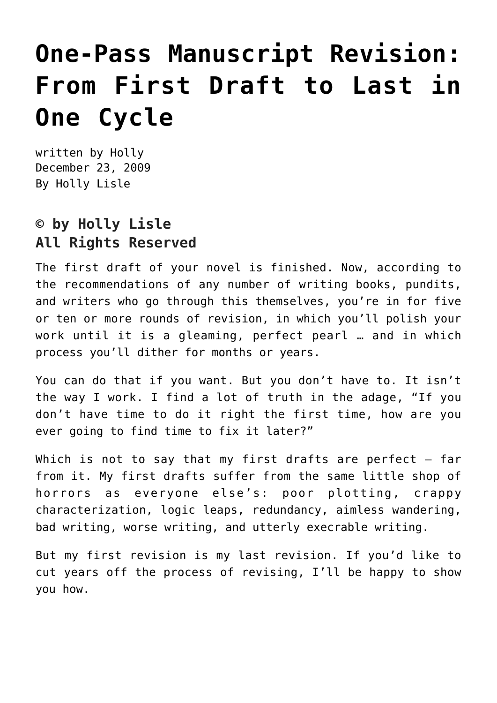# **[One-Pass Manuscript Revision:](https://hollylisle.com/one-pass-manuscript-revision-from-first-draft-to-last-in-one-cycle/) [From First Draft to Last in](https://hollylisle.com/one-pass-manuscript-revision-from-first-draft-to-last-in-one-cycle/) [One Cycle](https://hollylisle.com/one-pass-manuscript-revision-from-first-draft-to-last-in-one-cycle/)**

written by Holly December 23, 2009 [By Holly Lisle](https://hollylisle.com)

#### **© by Holly Lisle All Rights Reserved**

The first draft of your novel is finished. Now, according to the recommendations of any number of writing books, pundits, and writers who go through this themselves, you're in for five or ten or more rounds of revision, in which you'll polish your work until it is a gleaming, perfect pearl … and in which process you'll dither for months or years.

You can do that if you want. But you don't have to. It isn't the way I work. I find a lot of truth in the adage, "If you don't have time to do it right the first time, how are you ever going to find time to fix it later?"

Which is not to say that my first drafts are perfect  $-$  far from it. My first drafts suffer from the same little shop of horrors as everyone else's: poor plotting, crappy characterization, logic leaps, redundancy, aimless wandering, bad writing, worse writing, and utterly execrable writing.

But my first revision is my last revision. If you'd like to cut years off the process of revising, I'll be happy to show you how.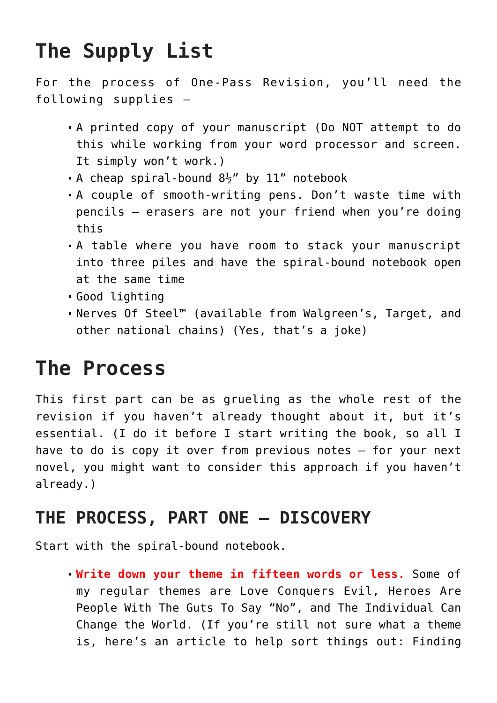## **The Supply List**

For the process of One-Pass Revision, you'll need the following supplies –

- A printed copy of your manuscript (Do NOT attempt to do this while working from your word processor and screen. It simply won't work.)
- A cheap spiral-bound  $8\frac{1}{2}$ " by 11" notebook
- A couple of smooth-writing pens. Don't waste time with pencils – erasers are not your friend when you're doing this
- A table where you have room to stack your manuscript into three piles and have the spiral-bound notebook open at the same time
- Good lighting
- Nerves Of Steel™ (available from Walgreen's, Target, and other national chains) (Yes, that's a joke)

## **The Process**

This first part can be as grueling as the whole rest of the revision if you haven't already thought about it, but it's essential. (I do it before I start writing the book, so all I have to do is copy it over from previous notes – for your next novel, you might want to consider this approach if you haven't already.)

## **THE PROCESS, PART ONE — DISCOVERY**

Start with the spiral-bound notebook.

**Write down your theme in fifteen words or less.** Some of my regular themes are Love Conquers Evil, Heroes Are People With The Guts To Say "No", and The Individual Can Change the World. (If you're still not sure what a theme is, here's an article to help sort things out: [Finding](https://hollylisle.com/finding-your-themes/)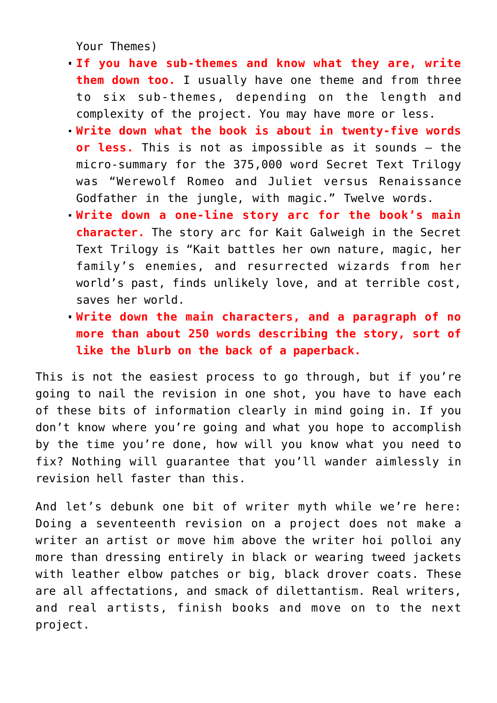[Your Themes\)](https://hollylisle.com/finding-your-themes/)

- **If you have sub-themes and know what they are, write them down too.** I usually have one theme and from three to six sub-themes, depending on the length and complexity of the project. You may have more or less.
- **Write down what the book is about in twenty-five words or less.** This is not as impossible as it sounds – the micro-summary for the 375,000 word Secret Text Trilogy was "Werewolf Romeo and Juliet versus Renaissance Godfather in the jungle, with magic." Twelve words.
- **Write down a one-line story arc for the book's main character.** The story arc for Kait Galweigh in the Secret Text Trilogy is "Kait battles her own nature, magic, her family's enemies, and resurrected wizards from her world's past, finds unlikely love, and at terrible cost, saves her world.
- **Write down the main characters, and a paragraph of no more than about 250 words describing the story, sort of like the blurb on the back of a paperback.**

This is not the easiest process to go through, but if you're going to nail the revision in one shot, you have to have each of these bits of information clearly in mind going in. If you don't know where you're going and what you hope to accomplish by the time you're done, how will you know what you need to fix? Nothing will guarantee that you'll wander aimlessly in revision hell faster than this.

And let's debunk one bit of writer myth while we're here: Doing a seventeenth revision on a project does not make a writer an artist or move him above the writer hoi polloi any more than dressing entirely in black or wearing tweed jackets with leather elbow patches or big, black drover coats. These are all affectations, and smack of dilettantism. Real writers, and real artists, finish books and move on to the next project.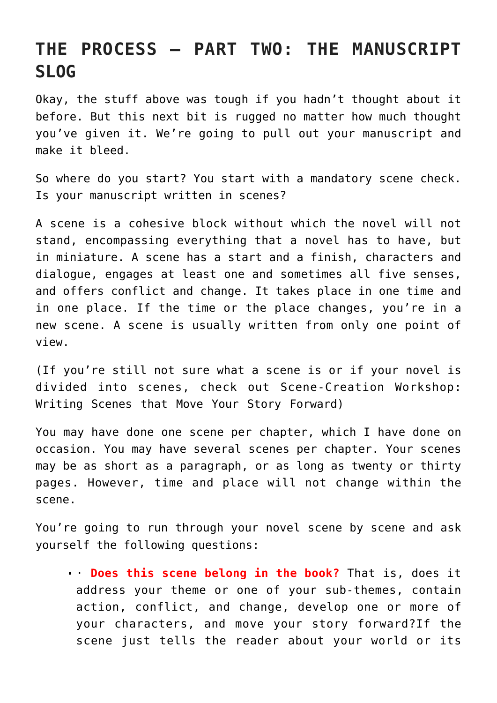### **THE PROCESS – PART TWO: THE MANUSCRIPT SLOG**

Okay, the stuff above was tough if you hadn't thought about it before. But this next bit is rugged no matter how much thought you've given it. We're going to pull out your manuscript and make it bleed.

So where do you start? You start with a mandatory scene check. Is your manuscript written in scenes?

A scene is a cohesive block without which the novel will not stand, encompassing everything that a novel has to have, but in miniature. A scene has a start and a finish, characters and dialogue, engages at least one and sometimes all five senses, and offers conflict and change. It takes place in one time and in one place. If the time or the place changes, you're in a new scene. A scene is usually written from only one point of view.

(If you're still not sure what a scene is or if your novel is divided into scenes, check out [Scene-Creation Workshop:](https://hollylisle.com/scene-creation-workshop-writing-scenes-that-move-your-story-forward/) [Writing Scenes that Move Your Story Forward\)](https://hollylisle.com/scene-creation-workshop-writing-scenes-that-move-your-story-forward/)

You may have done one scene per chapter, which I have done on occasion. You may have several scenes per chapter. Your scenes may be as short as a paragraph, or as long as twenty or thirty pages. However, time and place will not change within the scene.

You're going to run through your novel scene by scene and ask yourself the following questions:

· **Does this scene belong in the book?** That is, does it address your theme or one of your sub-themes, contain action, conflict, and change, develop one or more of your characters, and move your story forward?If the scene just tells the reader about your world or its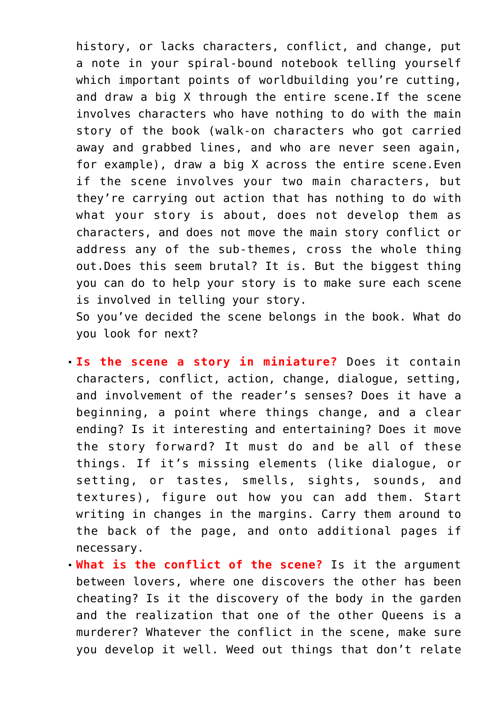history, or lacks characters, conflict, and change, put a note in your spiral-bound notebook telling yourself which important points of worldbuilding you're cutting, and draw a big X through the entire scene.If the scene involves characters who have nothing to do with the main story of the book (walk-on characters who got carried away and grabbed lines, and who are never seen again, for example), draw a big X across the entire scene.Even if the scene involves your two main characters, but they're carrying out action that has nothing to do with what your story is about, does not develop them as characters, and does not move the main story conflict or address any of the sub-themes, cross the whole thing out.Does this seem brutal? It is. But the biggest thing you can do to help your story is to make sure each scene is involved in telling your story.

So you've decided the scene belongs in the book. What do you look for next?

- **Is the scene a story in miniature?** Does it contain characters, conflict, action, change, dialogue, setting, and involvement of the reader's senses? Does it have a beginning, a point where things change, and a clear ending? Is it interesting and entertaining? Does it move the story forward? It must do and be all of these things. If it's missing elements (like dialogue, or setting, or tastes, smells, sights, sounds, and textures), figure out how you can add them. Start writing in changes in the margins. Carry them around to the back of the page, and onto additional pages if necessary.
- **What is the conflict of the scene?** Is it the argument between lovers, where one discovers the other has been cheating? Is it the discovery of the body in the garden and the realization that one of the other Queens is a murderer? Whatever the conflict in the scene, make sure you develop it well. Weed out things that don't relate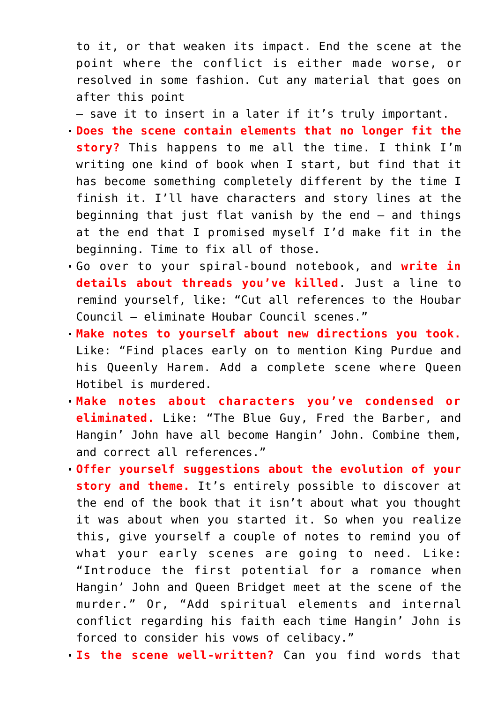to it, or that weaken its impact. End the scene at the point where the conflict is either made worse, or resolved in some fashion. Cut any material that goes on after this point

— save it to insert in a later if it's truly important.

- **Does the scene contain elements that no longer fit the story?** This happens to me all the time. I think I'm writing one kind of book when I start, but find that it has become something completely different by the time I finish it. I'll have characters and story lines at the beginning that just flat vanish by the end – and things at the end that I promised myself I'd make fit in the beginning. Time to fix all of those.
- Go over to your spiral-bound notebook, and **write in details about threads you've killed**. Just a line to remind yourself, like: "Cut all references to the Houbar Council – eliminate Houbar Council scenes."
- **Make notes to yourself about new directions you took.** Like: "Find places early on to mention King Purdue and his Queenly Harem. Add a complete scene where Queen Hotibel is murdered.
- **Make notes about characters you've condensed or eliminated.** Like: "The Blue Guy, Fred the Barber, and Hangin' John have all become Hangin' John. Combine them, and correct all references."
- **Offer yourself suggestions about the evolution of your story and theme.** It's entirely possible to discover at the end of the book that it isn't about what you thought it was about when you started it. So when you realize this, give yourself a couple of notes to remind you of what your early scenes are going to need. Like: "Introduce the first potential for a romance when Hangin' John and Queen Bridget meet at the scene of the murder." Or, "Add spiritual elements and internal conflict regarding his faith each time Hangin' John is forced to consider his vows of celibacy."
- **Is the scene well-written?** Can you find words that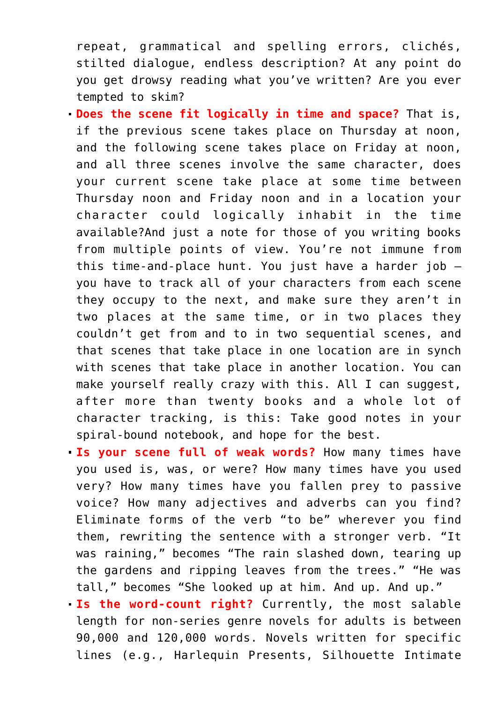repeat, grammatical and spelling errors, clichés, stilted dialogue, endless description? At any point do you get drowsy reading what you've written? Are you ever tempted to skim?

- **Does the scene fit logically in time and space?** That is, if the previous scene takes place on Thursday at noon, and the following scene takes place on Friday at noon, and all three scenes involve the same character, does your current scene take place at some time between Thursday noon and Friday noon and in a location your character could logically inhabit in the time available?And just a note for those of you writing books from multiple points of view. You're not immune from this time-and-place hunt. You just have a harder job – you have to track all of your characters from each scene they occupy to the next, and make sure they aren't in two places at the same time, or in two places they couldn't get from and to in two sequential scenes, and that scenes that take place in one location are in synch with scenes that take place in another location. You can make yourself really crazy with this. All I can suggest, after more than twenty books and a whole lot of character tracking, is this: Take good notes in your spiral-bound notebook, and hope for the best.
- **Is your scene full of weak words?** How many times have you used is, was, or were? How many times have you used very? How many times have you fallen prey to passive voice? How many adjectives and adverbs can you find? Eliminate forms of the verb "to be" wherever you find them, rewriting the sentence with a stronger verb. "It was raining," becomes "The rain slashed down, tearing up the gardens and ripping leaves from the trees." "He was tall," becomes "She looked up at him. And up. And up."
- **Is the word-count right?** Currently, the most salable length for non-series genre novels for adults is between 90,000 and 120,000 words. Novels written for specific lines (e.g., Harlequin Presents, Silhouette Intimate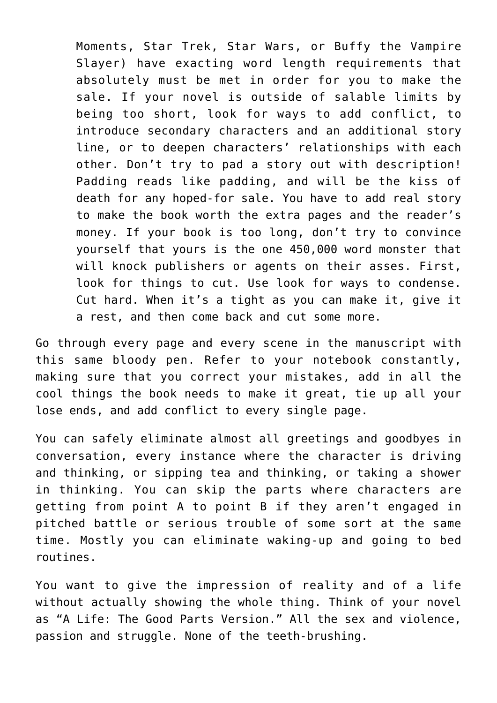Moments, Star Trek, Star Wars, or Buffy the Vampire Slayer) have exacting word length requirements that absolutely must be met in order for you to make the sale. If your novel is outside of salable limits by being too short, look for ways to add conflict, to introduce secondary characters and an additional story line, or to deepen characters' relationships with each other. Don't try to pad a story out with description! Padding reads like padding, and will be the kiss of death for any hoped-for sale. You have to add real story to make the book worth the extra pages and the reader's money. If your book is too long, don't try to convince yourself that yours is the one 450,000 word monster that will knock publishers or agents on their asses. First, look for things to cut. Use look for ways to condense. Cut hard. When it's a tight as you can make it, give it a rest, and then come back and cut some more.

Go through every page and every scene in the manuscript with this same bloody pen. Refer to your notebook constantly, making sure that you correct your mistakes, add in all the cool things the book needs to make it great, tie up all your lose ends, and add conflict to every single page.

You can safely eliminate almost all greetings and goodbyes in conversation, every instance where the character is driving and thinking, or sipping tea and thinking, or taking a shower in thinking. You can skip the parts where characters are getting from point A to point B if they aren't engaged in pitched battle or serious trouble of some sort at the same time. Mostly you can eliminate waking-up and going to bed routines.

You want to give the impression of reality and of a life without actually showing the whole thing. Think of your novel as "A Life: The Good Parts Version." All the sex and violence, passion and struggle. None of the teeth-brushing.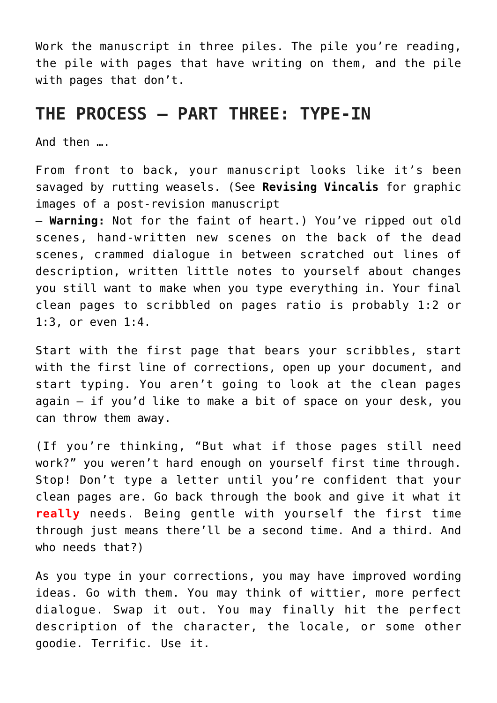Work the manuscript in three piles. The pile you're reading, the pile with pages that have writing on them, and the pile with pages that don't.

### **THE PROCESS – PART THREE: TYPE-IN**

And then ….

From front to back, your manuscript looks like it's been savaged by rutting weasels. (See **[Revising Vincalis](https://hollylisle.com/fm/Workshops/Revising-Vincalis.html)** for graphic images of a post-revision manuscript

— **Warning:** Not for the faint of heart.) You've ripped out old scenes, hand-written new scenes on the back of the dead scenes, crammed dialogue in between scratched out lines of description, written little notes to yourself about changes you still want to make when you type everything in. Your final clean pages to scribbled on pages ratio is probably 1:2 or 1:3, or even 1:4.

Start with the first page that bears your scribbles, start with the first line of corrections, open up your document, and start typing. You aren't going to look at the clean pages again — if you'd like to make a bit of space on your desk, you can throw them away.

(If you're thinking, "But what if those pages still need work?" you weren't hard enough on yourself first time through. Stop! Don't type a letter until you're confident that your clean pages are. Go back through the book and give it what it **really** needs. Being gentle with yourself the first time through just means there'll be a second time. And a third. And who needs that?)

As you type in your corrections, you may have improved wording ideas. Go with them. You may think of wittier, more perfect dialogue. Swap it out. You may finally hit the perfect description of the character, the locale, or some other goodie. Terrific. Use it.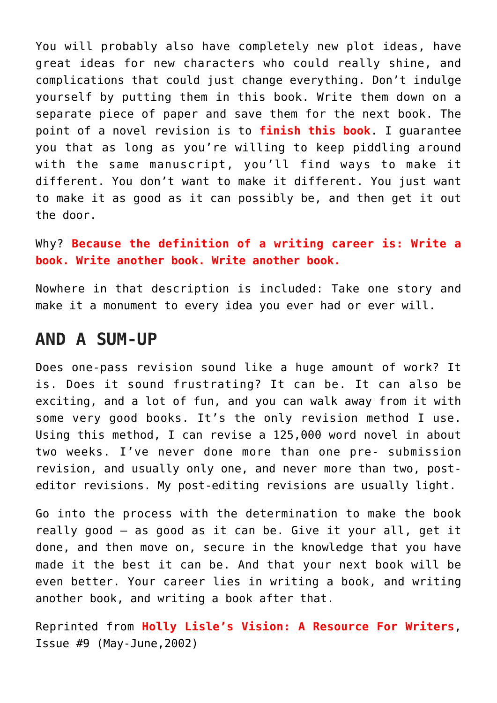You will probably also have completely new plot ideas, have great ideas for new characters who could really shine, and complications that could just change everything. Don't indulge yourself by putting them in this book. Write them down on a separate piece of paper and save them for the next book. The point of a novel revision is to **finish this book**. I guarantee you that as long as you're willing to keep piddling around with the same manuscript, you'll find ways to make it different. You don't want to make it different. You just want to make it as good as it can possibly be, and then get it out the door.

Why? **Because the definition of a writing career is: Write a book. Write another book. Write another book.**

Nowhere in that description is included: Take one story and make it a monument to every idea you ever had or ever will.

#### **AND A SUM-UP**

Does one-pass revision sound like a huge amount of work? It is. Does it sound frustrating? It can be. It can also be exciting, and a lot of fun, and you can walk away from it with some very good books. It's the only revision method I use. Using this method, I can revise a 125,000 word novel in about two weeks. I've never done more than one pre- submission revision, and usually only one, and never more than two, posteditor revisions. My post-editing revisions are usually light.

Go into the process with the determination to make the book really good — as good as it can be. Give it your all, get it done, and then move on, secure in the knowledge that you have made it the best it can be. And that your next book will be even better. Your career lies in writing a book, and writing another book, and writing a book after that.

Reprinted from **Holly Lisle's Vision: A Resource For Writers**, Issue #9 (May-June,2002)